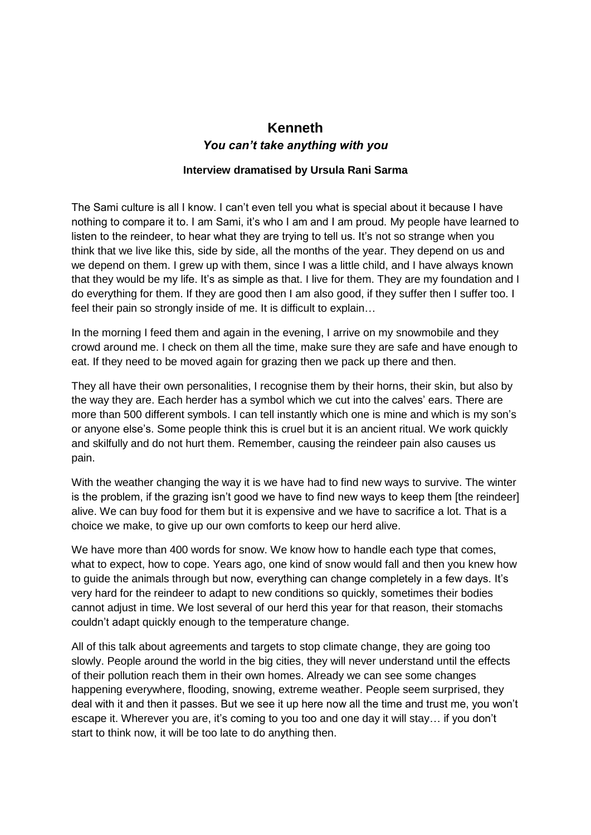## **Kenneth** *You can't take anything with you*

## **Interview dramatised by Ursula Rani Sarma**

The Sami culture is all I know. I can't even tell you what is special about it because I have nothing to compare it to. I am Sami, it's who I am and I am proud. My people have learned to listen to the reindeer, to hear what they are trying to tell us. It's not so strange when you think that we live like this, side by side, all the months of the year. They depend on us and we depend on them. I grew up with them, since I was a little child, and I have always known that they would be my life. It's as simple as that. I live for them. They are my foundation and I do everything for them. If they are good then I am also good, if they suffer then I suffer too. I feel their pain so strongly inside of me. It is difficult to explain…

In the morning I feed them and again in the evening, I arrive on my snowmobile and they crowd around me. I check on them all the time, make sure they are safe and have enough to eat. If they need to be moved again for grazing then we pack up there and then.

They all have their own personalities, I recognise them by their horns, their skin, but also by the way they are. Each herder has a symbol which we cut into the calves' ears. There are more than 500 different symbols. I can tell instantly which one is mine and which is my son's or anyone else's. Some people think this is cruel but it is an ancient ritual. We work quickly and skilfully and do not hurt them. Remember, causing the reindeer pain also causes us pain.

With the weather changing the way it is we have had to find new ways to survive. The winter is the problem, if the grazing isn't good we have to find new ways to keep them [the reindeer] alive. We can buy food for them but it is expensive and we have to sacrifice a lot. That is a choice we make, to give up our own comforts to keep our herd alive.

We have more than 400 words for snow. We know how to handle each type that comes, what to expect, how to cope. Years ago, one kind of snow would fall and then you knew how to guide the animals through but now, everything can change completely in a few days. It's very hard for the reindeer to adapt to new conditions so quickly, sometimes their bodies cannot adjust in time. We lost several of our herd this year for that reason, their stomachs couldn't adapt quickly enough to the temperature change.

All of this talk about agreements and targets to stop climate change, they are going too slowly. People around the world in the big cities, they will never understand until the effects of their pollution reach them in their own homes. Already we can see some changes happening everywhere, flooding, snowing, extreme weather. People seem surprised, they deal with it and then it passes. But we see it up here now all the time and trust me, you won't escape it. Wherever you are, it's coming to you too and one day it will stay… if you don't start to think now, it will be too late to do anything then.